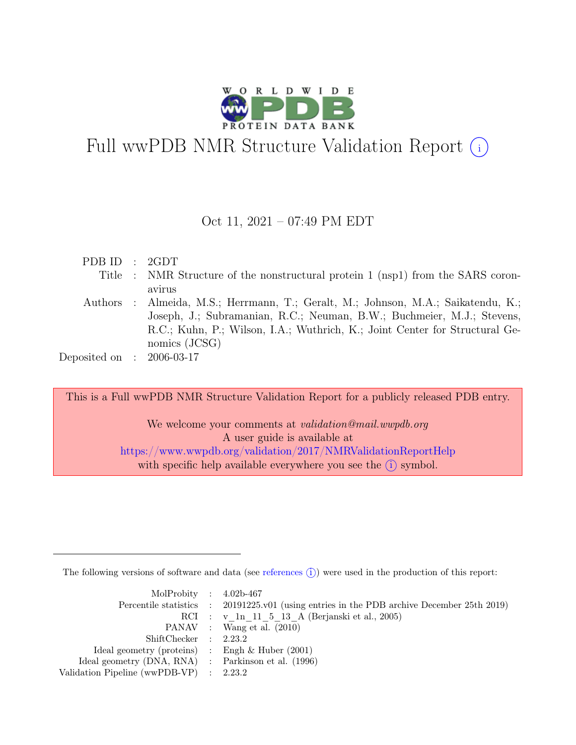

# Full wwPDB NMR Structure Validation Report (i)

#### Oct 11, 2021 – 07:49 PM EDT

| PDB ID : 2GDT               |                                                                                  |
|-----------------------------|----------------------------------------------------------------------------------|
|                             | Title : NMR Structure of the nonstructural protein 1 (nsp1) from the SARS coron- |
|                             | avirus                                                                           |
|                             | Authors: Almeida, M.S.; Herrmann, T.; Geralt, M.; Johnson, M.A.; Saikatendu, K.; |
|                             | Joseph, J.; Subramanian, R.C.; Neuman, B.W.; Buchmeier, M.J.; Stevens,           |
|                             | R.C.; Kuhn, P.; Wilson, I.A.; Wuthrich, K.; Joint Center for Structural Ge-      |
|                             | nomics (JCSG)                                                                    |
| Deposited on : $2006-03-17$ |                                                                                  |
|                             |                                                                                  |

This is a Full wwPDB NMR Structure Validation Report for a publicly released PDB entry.

We welcome your comments at *validation@mail.wwpdb.org* A user guide is available at <https://www.wwpdb.org/validation/2017/NMRValidationReportHelp> with specific help available everywhere you see the  $(i)$  symbol.

The following versions of software and data (see [references](https://www.wwpdb.org/validation/2017/NMRValidationReportHelp#references)  $\hat{I}$ ) were used in the production of this report:

| MolProbity : $4.02b-467$                            |                                                                                            |
|-----------------------------------------------------|--------------------------------------------------------------------------------------------|
|                                                     | Percentile statistics : 20191225.v01 (using entries in the PDB archive December 25th 2019) |
|                                                     | RCI : v 1n 11 5 13 A (Berjanski et al., 2005)                                              |
|                                                     | PANAV : Wang et al. (2010)                                                                 |
| ShiftChecker : 2.23.2                               |                                                                                            |
| Ideal geometry (proteins) : Engh $\&$ Huber (2001)  |                                                                                            |
| Ideal geometry (DNA, RNA) : Parkinson et al. (1996) |                                                                                            |
| Validation Pipeline (wwPDB-VP) : $2.23.2$           |                                                                                            |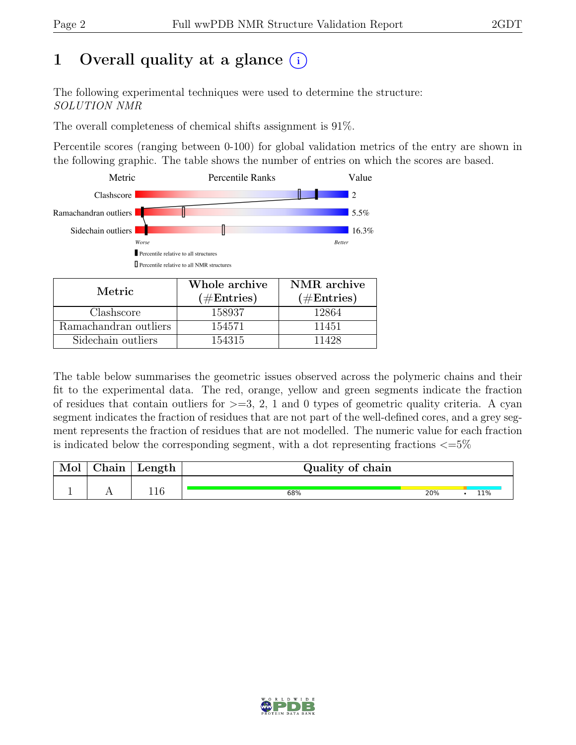# 1 Overall quality at a glance  $(i)$

The following experimental techniques were used to determine the structure: SOLUTION NMR

The overall completeness of chemical shifts assignment is 91%.

Percentile scores (ranging between 0-100) for global validation metrics of the entry are shown in the following graphic. The table shows the number of entries on which the scores are based.



| Metric.               | Whole archive<br>$(\#Entries)$ | NMR archive<br>$(\#Entries)$ |
|-----------------------|--------------------------------|------------------------------|
| Clashscore            | 158937                         | 12864                        |
| Ramachandran outliers | 154571                         | 11451                        |
| Sidechain outliers    | 154315                         | 11428                        |

The table below summarises the geometric issues observed across the polymeric chains and their fit to the experimental data. The red, orange, yellow and green segments indicate the fraction of residues that contain outliers for  $>=$  3, 2, 1 and 0 types of geometric quality criteria. A cyan segment indicates the fraction of residues that are not part of the well-defined cores, and a grey segment represents the fraction of residues that are not modelled. The numeric value for each fraction is indicated below the corresponding segment, with a dot representing fractions  $\langle=5\%$ 

| Mol | $ $ Chain $ $ | $\perp$ Length $\perp$ | Quality of chain |     |     |
|-----|---------------|------------------------|------------------|-----|-----|
|     |               | 116                    | 68%              | 20% | 11% |

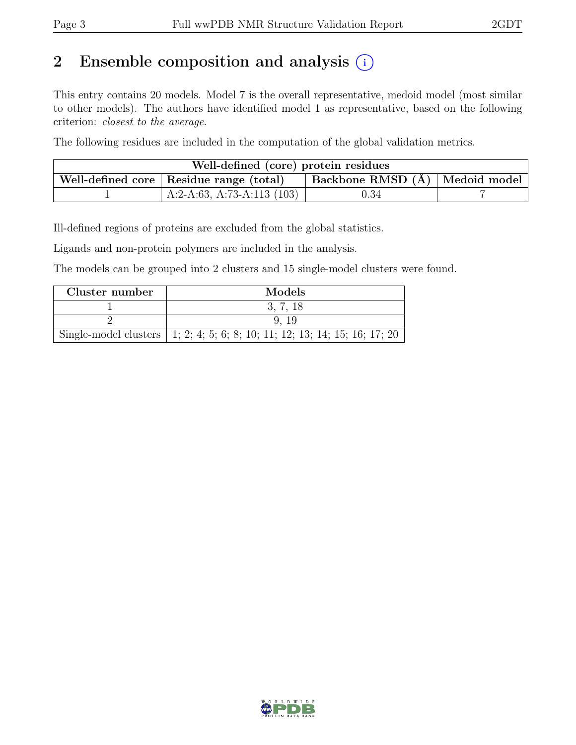# 2 Ensemble composition and analysis  $(i)$

This entry contains 20 models. Model 7 is the overall representative, medoid model (most similar to other models). The authors have identified model 1 as representative, based on the following criterion: closest to the average.

The following residues are included in the computation of the global validation metrics.

| Well-defined (core) protein residues                                            |                             |      |  |  |  |
|---------------------------------------------------------------------------------|-----------------------------|------|--|--|--|
| Backbone RMSD (Å)   Medoid model  <br>Well-defined core   Residue range (total) |                             |      |  |  |  |
|                                                                                 | $A:2-A:63, A:73-A:113(103)$ | 0.34 |  |  |  |

Ill-defined regions of proteins are excluded from the global statistics.

Ligands and non-protein polymers are included in the analysis.

The models can be grouped into 2 clusters and 15 single-model clusters were found.

| Cluster number | Models                                                                       |
|----------------|------------------------------------------------------------------------------|
|                | 3, 7, 18                                                                     |
|                | 9.19                                                                         |
|                | Single-model clusters   1, 2, 4, 5, 6, 8, 10, 11, 12, 13, 14, 15, 16, 17, 20 |

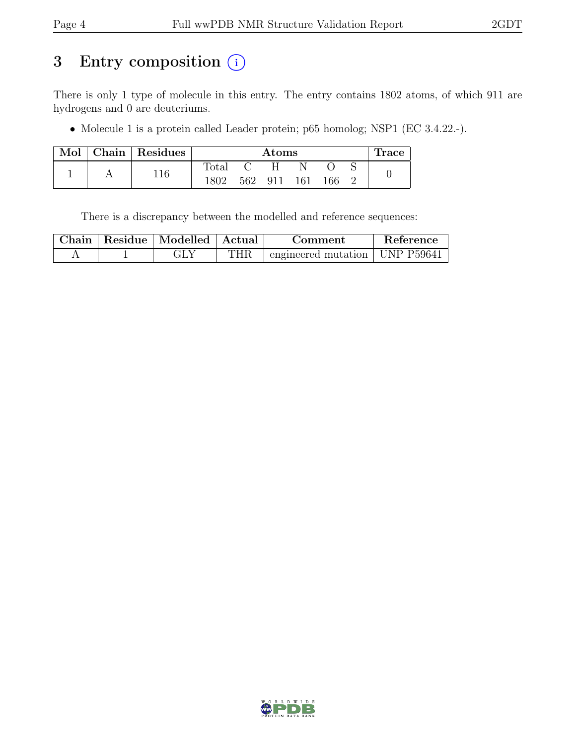# 3 Entry composition  $(i)$

There is only 1 type of molecule in this entry. The entry contains 1802 atoms, of which 911 are hydrogens and 0 are deuteriums.

• Molecule 1 is a protein called Leader protein; p65 homolog; NSP1 (EC 3.4.22.-).

| Mol | ${\rm Chain} \parallel$ | Residues | $\rm{Atoms}$ |     |     |     | Trace |  |  |
|-----|-------------------------|----------|--------------|-----|-----|-----|-------|--|--|
|     |                         | 116      | Total        |     |     |     |       |  |  |
|     |                         |          | 1802         | 562 | 911 | 161 | 166   |  |  |

There is a discrepancy between the modelled and reference sequences:

|  | Chain   Residue   Modelled   Actual |     | Comment                                        | Reference |
|--|-------------------------------------|-----|------------------------------------------------|-----------|
|  |                                     | THR | $\perp$ engineered mutation $\perp$ UNP P59641 |           |

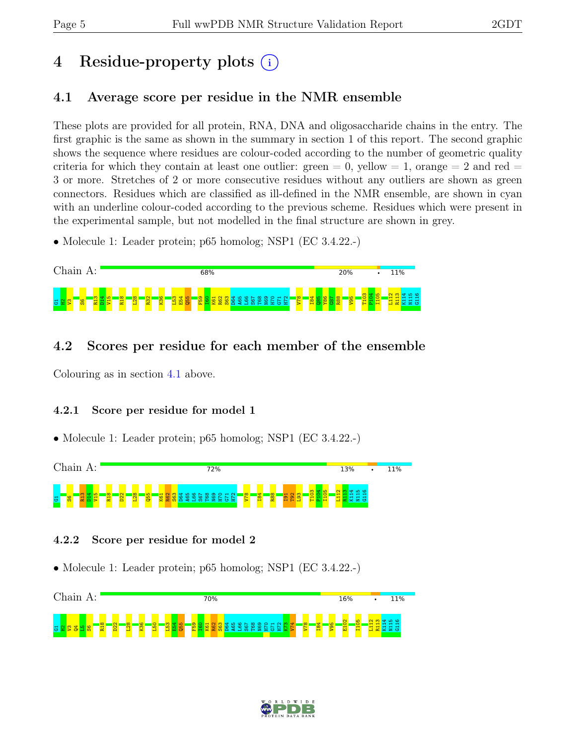# 4 Residue-property plots (i)

## <span id="page-4-0"></span>4.1 Average score per residue in the NMR ensemble

These plots are provided for all protein, RNA, DNA and oligosaccharide chains in the entry. The first graphic is the same as shown in the summary in section 1 of this report. The second graphic shows the sequence where residues are colour-coded according to the number of geometric quality criteria for which they contain at least one outlier: green  $= 0$ , yellow  $= 1$ , orange  $= 2$  and red  $=$ 3 or more. Stretches of 2 or more consecutive residues without any outliers are shown as green connectors. Residues which are classified as ill-defined in the NMR ensemble, are shown in cyan with an underline colour-coded according to the previous scheme. Residues which were present in the experimental sample, but not modelled in the final structure are shown in grey.

• Molecule 1: Leader protein; p65 homolog; NSP1 (EC 3.4.22.-)



## 4.2 Scores per residue for each member of the ensemble

Colouring as in section [4.1](#page-4-0) above.

#### 4.2.1 Score per residue for model 1

• Molecule 1: Leader protein; p65 homolog; NSP1 (EC 3.4.22.-)



#### 4.2.2 Score per residue for model 2



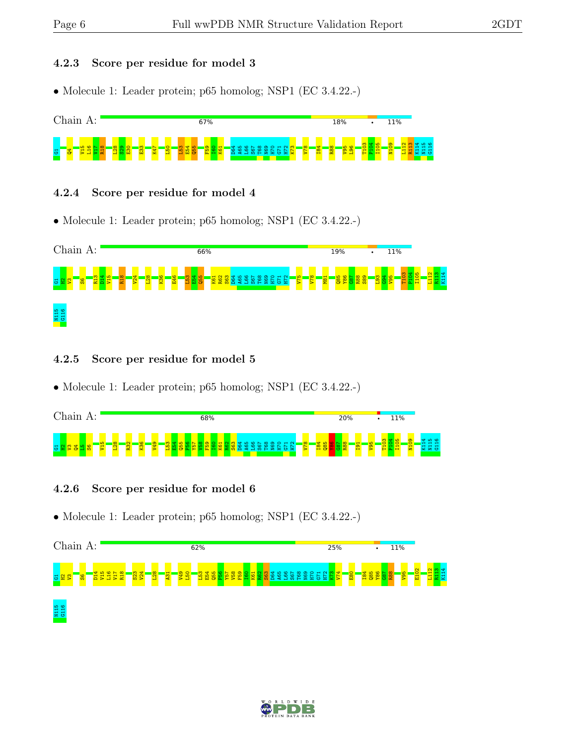#### 4.2.3 Score per residue for model 3

• Molecule 1: Leader protein; p65 homolog; NSP1 (EC 3.4.22.-)



#### 4.2.4 Score per residue for model 4

• Molecule 1: Leader protein; p65 homolog; NSP1 (EC 3.4.22.-)



#### 4.2.5 Score per residue for model 5

• Molecule 1: Leader protein; p65 homolog; NSP1 (EC 3.4.22.-)

| $\cap$ h<br>91n         | 68%                                         | 20%                                       | 11%                                     |
|-------------------------|---------------------------------------------|-------------------------------------------|-----------------------------------------|
| $\infty$<br>$\sim$<br>퓽 | <b>i</b> co<br>$\sim$<br>$\infty$<br>ത<br>5 | $\overline{56}$<br>₹<br>$\mathbf{H}$<br>☞ | ດ ເດ<br>$\circ$<br>$+ +$<br>$+ +$<br>20 |

#### 4.2.6 Score per residue for model 6



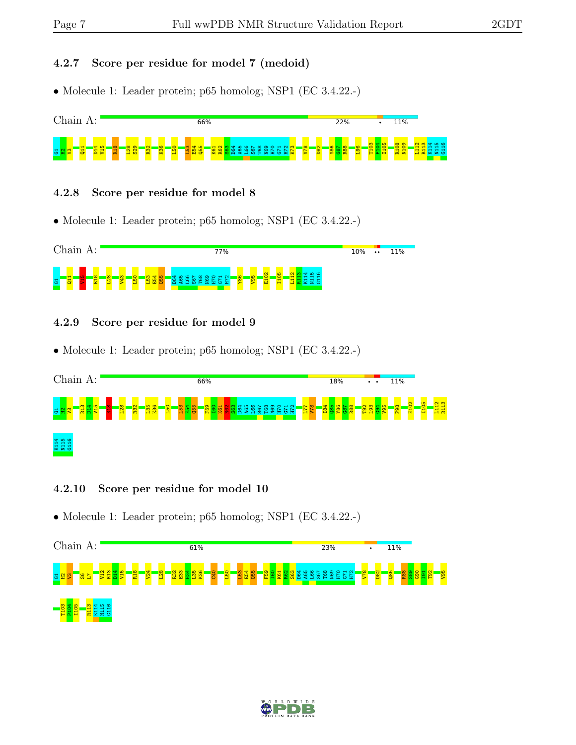#### 4.2.7 Score per residue for model 7 (medoid)

• Molecule 1: Leader protein; p65 homolog; NSP1 (EC 3.4.22.-)



#### 4.2.8 Score per residue for model 8

• Molecule 1: Leader protein; p65 homolog; NSP1 (EC 3.4.22.-)



#### 4.2.9 Score per residue for model 9

• Molecule 1: Leader protein; p65 homolog; NSP1 (EC 3.4.22.-)



#### 4.2.10 Score per residue for model 10



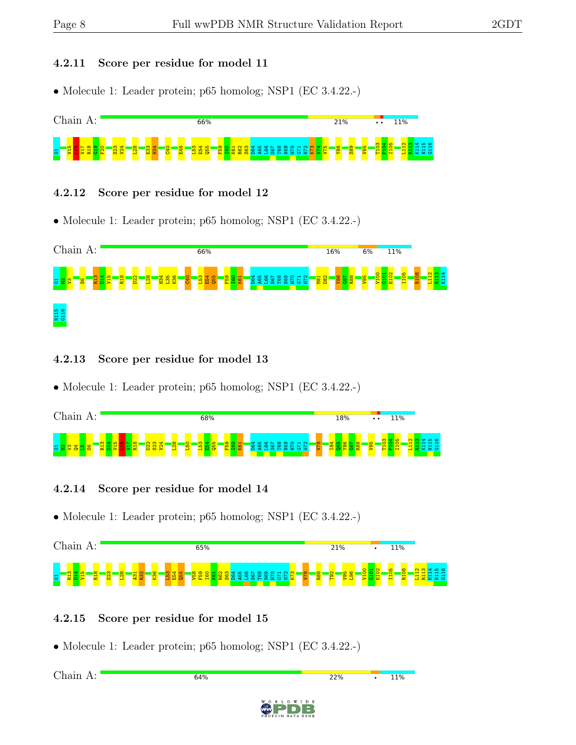#### 4.2.11 Score per residue for model 11

• Molecule 1: Leader protein; p65 homolog; NSP1 (EC 3.4.22.-)



#### 4.2.12 Score per residue for model 12

• Molecule 1: Leader protein; p65 homolog; NSP1 (EC 3.4.22.-)



#### 4.2.13 Score per residue for model 13

• Molecule 1: Leader protein; p65 homolog; NSP1 (EC 3.4.22.-)

| $\cap$ h<br>ากาท<br>◡ | 68% |     | 18% | 11%<br>$\bullet\bullet$    |
|-----------------------|-----|-----|-----|----------------------------|
| -<br>ಲ                |     | - - |     | ဖ<br>- -<br>ு<br>- -<br>v. |

#### 4.2.14 Score per residue for model 14

• Molecule 1: Leader protein; p65 homolog; NSP1 (EC 3.4.22.-)



#### 4.2.15 Score per residue for model 15

• Molecule 1: Leader protein; p65 homolog; NSP1 (EC 3.4.22.-)

Chain A:64% 22% **11%** 

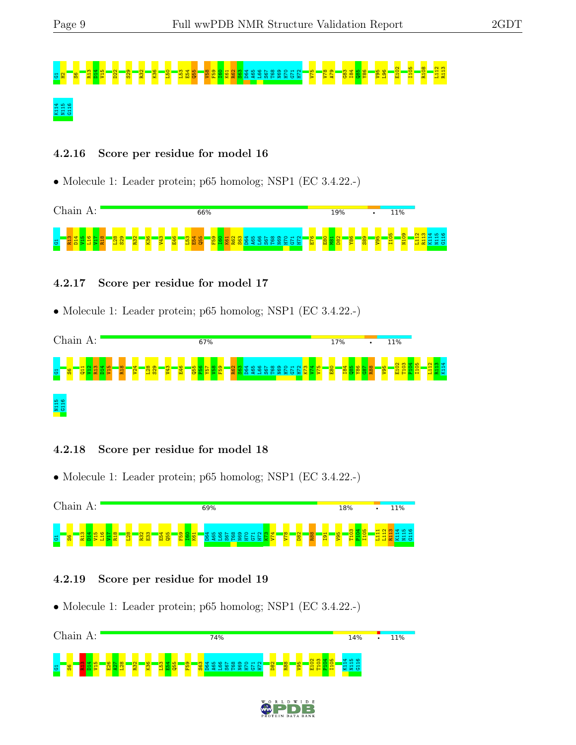# G1H2S6R13 D14 V15 D22 S29 R32 K36 L50 L53 E54 Q55 V58 F59 I60 K61 R62 S63 D64 A65 L66 S67 T68 N69 H70 G71 H72 V75 V78 A79 G83 I84 Q85 Y86 V95 L96 E102 I105 R108 L112 R113 K114<br>N115<br>a:

#### 4.2.16 Score per residue for model 16

• Molecule 1: Leader protein; p65 homolog; NSP1 (EC 3.4.22.-)



#### 4.2.17 Score per residue for model 17

• Molecule 1: Leader protein; p65 homolog; NSP1 (EC 3.4.22.-)



#### 4.2.18 Score per residue for model 18

• Molecule 1: Leader protein; p65 homolog; NSP1 (EC 3.4.22.-)



#### 4.2.19 Score per residue for model 19



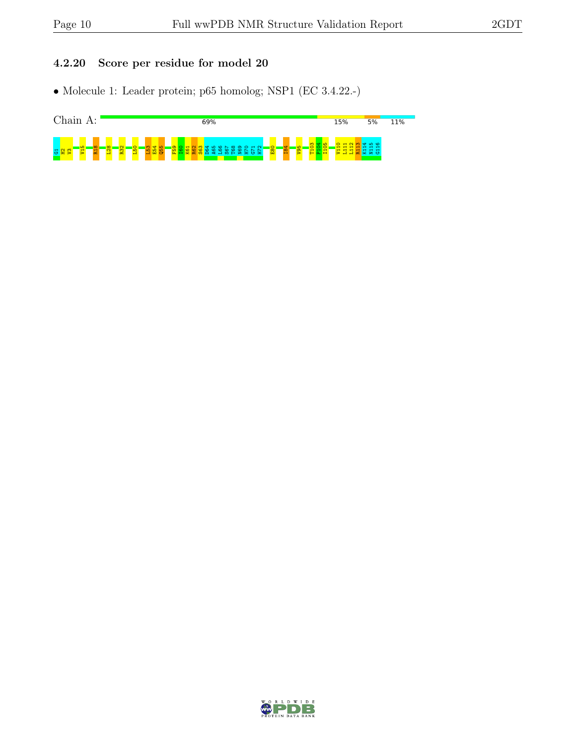#### 4.2.20 Score per residue for model 20



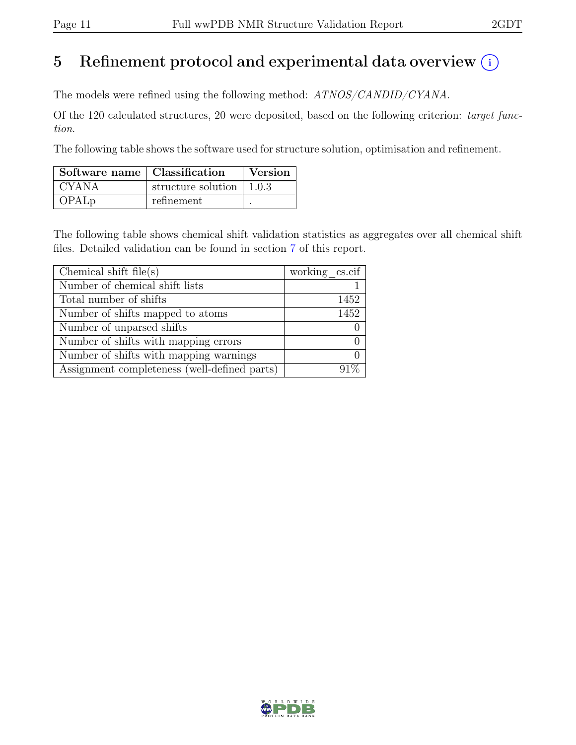# 5 Refinement protocol and experimental data overview  $(i)$

The models were refined using the following method: ATNOS/CANDID/CYANA.

Of the 120 calculated structures, 20 were deposited, based on the following criterion: target function.

The following table shows the software used for structure solution, optimisation and refinement.

| Software name   Classification |                                          | <b>Version</b> |
|--------------------------------|------------------------------------------|----------------|
| CYANA                          | structure solution $\vert 1.0.3 \rangle$ |                |
| OPAL <sub>p</sub>              | refinement                               |                |

The following table shows chemical shift validation statistics as aggregates over all chemical shift files. Detailed validation can be found in section [7](#page-18-0) of this report.

| Chemical shift file(s)                       | working cs.cif |
|----------------------------------------------|----------------|
| Number of chemical shift lists               |                |
| Total number of shifts                       | 1452           |
| Number of shifts mapped to atoms             | 1452           |
| Number of unparsed shifts                    |                |
| Number of shifts with mapping errors         |                |
| Number of shifts with mapping warnings       |                |
| Assignment completeness (well-defined parts) |                |

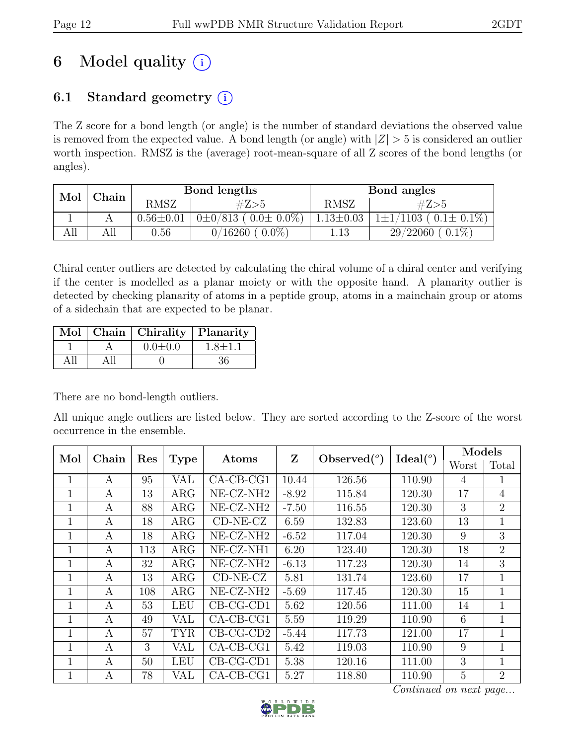# 6 Model quality  $(i)$

# 6.1 Standard geometry  $(i)$

The Z score for a bond length (or angle) is the number of standard deviations the observed value is removed from the expected value. A bond length (or angle) with  $|Z| > 5$  is considered an outlier worth inspection. RMSZ is the (average) root-mean-square of all Z scores of the bond lengths (or angles).

| Mol | $\operatorname{\mathbb{C}}$ hain |                 | Bond lengths                  | Bond angles     |                                     |  |
|-----|----------------------------------|-----------------|-------------------------------|-----------------|-------------------------------------|--|
|     |                                  | <b>RMSZ</b>     | #Z>5                          | <b>RMSZ</b>     | #Z>5                                |  |
|     |                                  | $0.56 \pm 0.01$ | $0\pm0/813$ ( $0.0\pm0.0\%$ ) | $1.13 \pm 0.03$ | $(1103 (0.1 \pm 0.1\%)$<br>$1\pm1/$ |  |
| AП  | All                              | $\rm 0.56$      | $0.0\%$<br>0/16260            | 1.13            | $0.1\%$<br>29/22060                 |  |

Chiral center outliers are detected by calculating the chiral volume of a chiral center and verifying if the center is modelled as a planar moiety or with the opposite hand. A planarity outlier is detected by checking planarity of atoms in a peptide group, atoms in a mainchain group or atoms of a sidechain that are expected to be planar.

|  | Mol   Chain   Chirality   Planarity |               |
|--|-------------------------------------|---------------|
|  | $0.0 \pm 0.0$                       | $1.8 \pm 1.1$ |
|  |                                     | 36            |

There are no bond-length outliers.

All unique angle outliers are listed below. They are sorted according to the Z-score of the worst occurrence in the ensemble.

| Mol          | Chain        | Res |             | Atoms                 | Z       | Observed $(°)$ | Ideal $(°)$ | Models         |                |
|--------------|--------------|-----|-------------|-----------------------|---------|----------------|-------------|----------------|----------------|
|              |              |     | <b>Type</b> |                       |         |                |             | Worst          | Total          |
| 1            | A            | 95  | <b>VAL</b>  | $CA-CB-CG1$           | 10.44   | 126.56         | 110.90      | $\overline{4}$ | 1              |
| 1            | A            | 13  | $\rm{ARG}$  | NE-CZ-NH <sub>2</sub> | $-8.92$ | 115.84         | 120.30      | 17             | $\overline{4}$ |
| $\mathbf{1}$ | A            | 88  | $\rm{ARG}$  | NE-CZ-NH <sub>2</sub> | $-7.50$ | 116.55         | 120.30      | 3              | $\overline{2}$ |
| 1            | A            | 18  | $\rm{ARG}$  | $CD-NE- CZ$           | 6.59    | 132.83         | 123.60      | 13             | 1              |
| $\mathbf{1}$ | A            | 18  | $\rm{ARG}$  | $NE- CZ-NH2$          | $-6.52$ | 117.04         | 120.30      | 9              | 3              |
| 1            | А            | 113 | $\rm{ARG}$  | NE-CZ-NH1             | 6.20    | 123.40         | 120.30      | 18             | $\overline{2}$ |
| 1            | A            | 32  | $\rm{ARG}$  | $NE- CZ-NH2$          | $-6.13$ | 117.23         | 120.30      | 14             | 3              |
| 1            | A            | 13  | $\rm{ARG}$  | $CD-NE- CZ$           | 5.81    | 131.74         | 123.60      | 17             | $\mathbf{1}$   |
| 1            | A            | 108 | $\rm{ARG}$  | NE-CZ-NH <sub>2</sub> | $-5.69$ | 117.45         | 120.30      | 15             | $\mathbf{1}$   |
| $\mathbf{1}$ | $\mathbf{A}$ | 53  | <b>LEU</b>  | $CB-CG-CD1$           | 5.62    | 120.56         | 111.00      | 14             | 1              |
| $\mathbf{1}$ | A            | 49  | VAL         | $CA-CB-CG1$           | 5.59    | 119.29         | 110.90      | 6              | $\mathbf{1}$   |
| 1            | А            | 57  | <b>TYR</b>  | $CB-CG-CD2$           | $-5.44$ | 117.73         | 121.00      | 17             | 1              |
| $\mathbf{1}$ | A            | 3   | VAL         | $CA-CB-CG1$           | 5.42    | 119.03         | 110.90      | 9              | $\mathbf{1}$   |
| 1            | А            | 50  | LEU         | $CB-CG-CD1$           | 5.38    | 120.16         | 111.00      | 3              | 1              |
| $\mathbf{1}$ | А            | 78  | VAL         | $CA-CB-CG1$           | 5.27    | 118.80         | 110.90      | 5              | $\overline{2}$ |

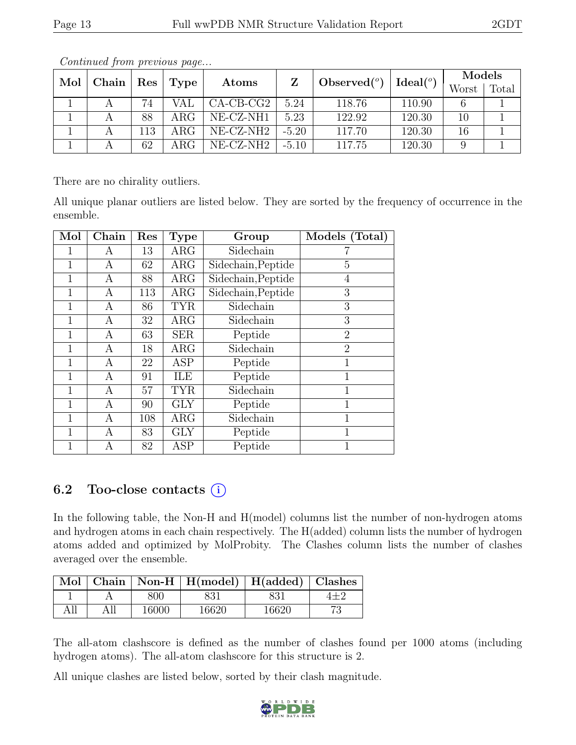| $Mol$   Chain   Res |     | Type             | Atoms       |                     |        |          | Models |       |
|---------------------|-----|------------------|-------------|---------------------|--------|----------|--------|-------|
|                     |     |                  |             | Observed $(^\circ)$ |        | Ideal(°) | Worst  | Total |
|                     | 74  | VAL              | $CA-CB-CG2$ | 5.24                | 118.76 | 110.90   |        |       |
|                     | 88  | ARG <sub>c</sub> | NE-CZ-NH1   | 5.23                | 122.92 | 120.30   | 10     |       |
|                     | 113 | $\rm{ARG}$       | NE-CZ-NH2   | $-5.20$             | 117.70 | 120.30   | 16     |       |
|                     | 62  | ARG-             | NE-CZ-NH2   | $-5.10$             | 117.75 | 120.30   |        |       |

Continued from previous page...

There are no chirality outliers.

All unique planar outliers are listed below. They are sorted by the frequency of occurrence in the ensemble.

| Mol          | Chain | Res | Type       | Group              | Models (Total) |
|--------------|-------|-----|------------|--------------------|----------------|
|              | Α     | 13  | $\rm{ARG}$ | Sidechain          |                |
| 1            | А     | 62  | $\rm{ARG}$ | Sidechain, Peptide | 5              |
| 1            | А     | 88  | $\rm{ARG}$ | Sidechain, Peptide | 4              |
|              | А     | 113 | $\rm{ARG}$ | Sidechain, Peptide | 3              |
| $\mathbf{1}$ | А     | 86  | <b>TYR</b> | Sidechain          | 3              |
| $\mathbf 1$  | А     | 32  | $\rm{ARG}$ | Sidechain          | 3              |
| 1            | Α     | 63  | <b>SER</b> | Peptide            | $\overline{2}$ |
| 1            | А     | 18  | $\rm{ARG}$ | Sidechain          | $\overline{2}$ |
| 1            | А     | 22  | ASP        | Peptide            | 1              |
| 1            | Α     | 91  | ILE        | Peptide            | 1              |
|              | А     | 57  | <b>TYR</b> | Sidechain          | 1              |
| 1            | А     | 90  | <b>GLY</b> | Peptide            | 1              |
| 1            | Α     | 108 | $\rm{ARG}$ | Sidechain          | 1              |
|              | А     | 83  | <b>GLY</b> | Peptide            | 1              |
| $\mathbf 1$  | А     | 82  | <b>ASP</b> | Peptide            | 1              |

#### 6.2 Too-close contacts  $(i)$

In the following table, the Non-H and H(model) columns list the number of non-hydrogen atoms and hydrogen atoms in each chain respectively. The H(added) column lists the number of hydrogen atoms added and optimized by MolProbity. The Clashes column lists the number of clashes averaged over the ensemble.

|  |       | Mol   Chain   Non-H   H(model)   H(added)   Clashes |       |  |
|--|-------|-----------------------------------------------------|-------|--|
|  | 800   |                                                     | 831   |  |
|  | 16000 | 16620                                               | 16620 |  |

The all-atom clashscore is defined as the number of clashes found per 1000 atoms (including hydrogen atoms). The all-atom clashscore for this structure is 2.

All unique clashes are listed below, sorted by their clash magnitude.

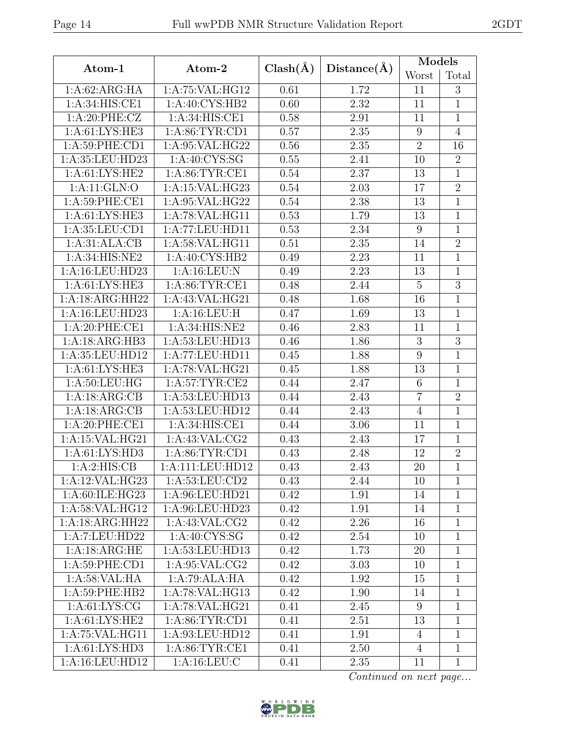| Atom-1             | Atom-2            | $Clash(\AA)$ | Distance(A) | Models           |                |
|--------------------|-------------------|--------------|-------------|------------------|----------------|
|                    |                   |              |             | Worst            | Total          |
| 1:A:62:ARG:HA      | 1:A:75:VAL:HG12   | 0.61         | 1.72        | 11               | $\sqrt{3}$     |
| 1:A:34:HIS:CE1     | 1:A:40:CYS:HB2    | 0.60         | 2.32        | 11               | $\mathbf{1}$   |
| 1:A:20:PHE:CZ      | 1: A:34: HIS: CE1 | 0.58         | 2.91        | 11               | $\mathbf{1}$   |
| 1: A:61:LYS:HE3    | 1:A:86:TYR:CD1    | 0.57         | 2.35        | $\boldsymbol{9}$ | $\overline{4}$ |
| 1:A:59:PHE:CD1     | 1:A:95:VAL:HG22   | 0.56         | 2.35        | $\overline{2}$   | 16             |
| 1:A:35:LEU:HD23    | 1: A:40: CYS:SG   | 0.55         | 2.41        | 10               | $\overline{2}$ |
| 1: A: 61: LYS: HE2 | 1: A:86: TYR:CE1  | 0.54         | 2.37        | 13               | $\mathbf{1}$   |
| 1:A:11:GLN:O       | 1:A:15:VAL:HG23   | 0.54         | 2.03        | 17               | $\overline{2}$ |
| 1: A:59: PHE:CE1   | 1:A:95:VAL:HG22   | 0.54         | 2.38        | 13               | $\mathbf{1}$   |
| 1: A: 61: LYS: HE3 | 1:A:78:VAL:HG11   | 0.53         | 1.79        | 13               | $\mathbf{1}$   |
| 1:A:35:LEU:CD1     | 1:A:77:LEU:HD11   | 0.53         | 2.34        | $9\phantom{.0}$  | $\mathbf{1}$   |
| 1:A:31:ALA:CB      | 1:A:58:VAL:HG11   | 0.51         | 2.35        | 14               | $\overline{2}$ |
| 1:A:34:HIS:NE2     | 1:A:40:CYS:HB2    | 0.49         | 2.23        | 11               | $\mathbf{1}$   |
| 1:A:16:LEU:HD23    | 1:A:16:LEU:N      | 0.49         | 2.23        | 13               | $\mathbf{1}$   |
| 1: A:61: LYS: HE3  | 1: A:86:TYR:CE1   | 0.48         | 2.44        | $\overline{5}$   | $\overline{3}$ |
| 1:A:18:ARG:HH22    | 1:A:43:VAL:HG21   | 0.48         | 1.68        | 16               | $\mathbf{1}$   |
| 1:A:16:LEU:HD23    | 1:A:16:LEU:H      | 0.47         | 1.69        | 13               | $\overline{1}$ |
| 1:A:20:PHE:CE1     | 1: A:34: HIS: NE2 | 0.46         | 2.83        | 11               | $\mathbf{1}$   |
| 1:A:18:ARG:HB3     | 1:A:53:LEU:HD13   | 0.46         | 1.86        | 3                | $\overline{3}$ |
| 1:A:35:LEU:HD12    | 1:A:77:LEU:HD11   | 0.45         | 1.88        | $\boldsymbol{9}$ | $\mathbf{1}$   |
| 1:A:61:LYS:HE3     | 1:A:78:VAL:HG21   | 0.45         | 1.88        | 13               | $\mathbf 1$    |
| 1: A:50: LEU: HG   | 1: A:57:TYR:CE2   | 0.44         | 2.47        | $\,6$            | $\mathbf{1}$   |
| 1:A:18:ARG:CB      | 1:A:53:LEU:HD13   | 0.44         | 2.43        | $\overline{7}$   | $\overline{2}$ |
| 1:A:18:ARG:CB      | 1:A:53:LEU:HD12   | 0.44         | 2.43        | $\overline{4}$   | $\overline{1}$ |
| 1:A:20:PHE:CE1     | 1:A:34:HIS:CE1    | 0.44         | 3.06        | 11               | $\overline{1}$ |
| 1:A:15:VAL:HG21    | 1:A:43:VAL:CG2    | 0.43         | 2.43        | 17               | $\mathbf{1}$   |
| 1: A: 61: LYS: HD3 | 1: A:86: TYR:CD1  | 0.43         | 2.48        | 12               | $\overline{2}$ |
| 1:A:2:HIS:CB       | 1:A:111:LEU:HD12  | 0.43         | 2.43        | 20               | $\mathbf{1}$   |
| 1:A:12:VAL:HG23    | 1: A:53:LEU:CD2   | 0.43         | 2.44        | 10               | 1              |
| 1:A:60:ILE:HG23    | 1:A:96:LEU:HD21   | 0.42         | 1.91        | 14               | $\mathbf{1}$   |
| 1:A:58:VAL:HG12    | 1: A:96: LEU:HD23 | 0.42         | 1.91        | 14               | 1              |
| 1:A:18:ARG:HH22    | 1:A:43:VAL:CG2    | 0.42         | 2.26        | 16               | $\mathbf{1}$   |
| 1:A:7:LEU:HD22     | 1: A:40:CYS:SG    | 0.42         | 2.54        | 10               | $\mathbf{1}$   |
| 1:A:18:ARG:HE      | 1:A:53:LEU:HD13   | 0.42         | 1.73        | 20               | $\overline{1}$ |
| 1:A:59:PHE:CD1     | 1: A:95: VAL:CG2  | 0.42         | 3.03        | 10               | 1              |
| 1: A:58: VAL:HA    | 1:A:79:ALA:HA     | 0.42         | 1.92        | 15               | $\mathbf{1}$   |
| 1:A:59:PHE:HB2     | 1:A:78:VAL:HG13   | 0.42         | 1.90        | 14               | $\mathbf{1}$   |
| 1: A: 61: LYS: CG  | 1:A:78:VAL:HG21   | 0.41         | 2.45        | 9                | $\mathbf{1}$   |
| 1: A: 61: LYS: HE2 | 1: A:86: TYR:CD1  | 0.41         | 2.51        | 13               | $\mathbf{1}$   |
| 1:A:75:VAL:HG11    | 1:A:93:LEU:HD12   | 0.41         | 1.91        | 4                | $\mathbf{1}$   |
| 1: A: 61: LYS: HD3 | 1: A:86: TYR:CE1  | 0.41         | 2.50        | $\overline{4}$   | $\mathbf{1}$   |
| 1:A:16:LEU:HD12    | 1:A:16:LEU:C      | 0.41         | 2.35        | 11               | $\mathbf{1}$   |

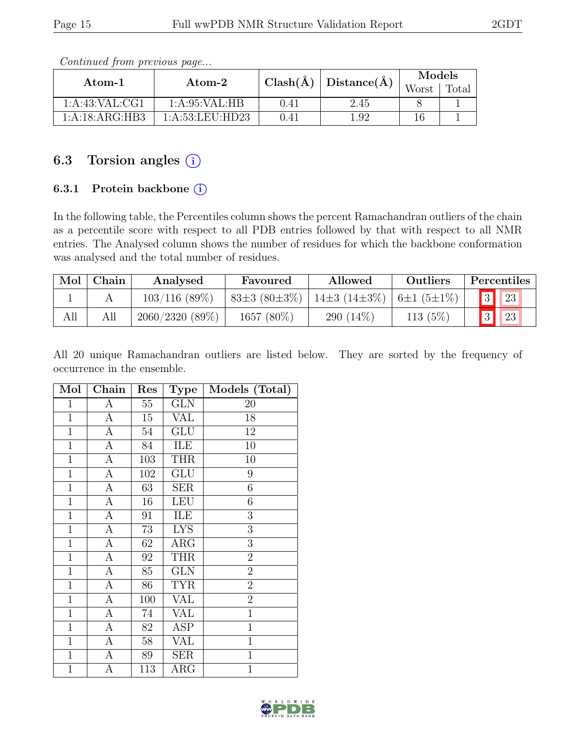| Atom-1         | Atom-2           | $Clash(\AA)$ | Distance $(A)$ | Models<br>Worst | Total |
|----------------|------------------|--------------|----------------|-----------------|-------|
| 1:A:43:VAL:CG1 | 1: A:95: VAL:HB  | 0.41         | 2.45           |                 |       |
| 1:A:18:ARG:HB3 | 1: A:53:LEU:HD23 | 0.41         | .92            |                 |       |

Continued from previous page...

## 6.3 Torsion angles  $(i)$

#### 6.3.1 Protein backbone (i)

In the following table, the Percentiles column shows the percent Ramachandran outliers of the chain as a percentile score with respect to all PDB entries followed by that with respect to all NMR entries. The Analysed column shows the number of residues for which the backbone conformation was analysed and the total number of residues.

| Mol | Chain | Analysed          | Favoured           | Allowed                                          | Outliers   | Percentiles |
|-----|-------|-------------------|--------------------|--------------------------------------------------|------------|-------------|
|     |       | $103/116$ (89%)   | $83\pm3(80\pm3\%)$ | $14\pm3$ (14 $\pm3\%$ )   6 $\pm1$ (5 $\pm1\%$ ) |            | 23          |
| All | All   | $2060/2320(89\%)$ | 1657 (80%)         | 290 $(14\%)$                                     | 113 $(5%)$ | 23          |

All 20 unique Ramachandran outliers are listed below. They are sorted by the frequency of occurrence in the ensemble.

| Mol            | Chain              | Res    | <b>Type</b>             | Models (Total) |
|----------------|--------------------|--------|-------------------------|----------------|
| $\mathbf 1$    | А                  | 55     | <b>GLN</b>              | 20             |
| $\overline{1}$ | A                  | 15     | <b>VAL</b>              | 18             |
| $\mathbf{1}$   | $\overline{A}$     | $54\,$ | GLU                     | 12             |
| $\mathbf{1}$   | $\overline{A}$     | 84     | ILE                     | 10             |
| $\mathbf{1}$   | A                  | 103    | <b>THR</b>              | 10             |
| $\mathbf{1}$   | A                  | 102    | GLU                     | 9              |
| $\mathbf{1}$   | A                  | 63     | SER                     | 6              |
| $\mathbf{1}$   | $\overline{\rm A}$ | 16     | <b>LEU</b>              | 6              |
| $\mathbf{1}$   | A                  | 91     | ILE                     | 3              |
| $\mathbf{1}$   | A                  | 73     | <b>LYS</b>              | 3              |
| $\mathbf{1}$   | $\overline{A}$     | 62     | $\rm{ARG}$              | 3              |
| $\mathbf{1}$   | A                  | 92     | <b>THR</b>              | $\overline{2}$ |
| $\mathbf{1}$   | $\overline{A}$     | 85     | <b>GLN</b>              | $\overline{2}$ |
| $\mathbf{1}$   | A                  | 86     | <b>TYR</b>              | $\overline{2}$ |
| $\mathbf{1}$   | $\overline{A}$     | 100    | $\overline{\text{VAL}}$ | $\overline{2}$ |
| $\mathbf{1}$   | $\overline{A}$     | 74     | <b>VAL</b>              | $\overline{1}$ |
| $\mathbf{1}$   | A                  | 82     | ASP                     | $\mathbf{1}$   |
| $\mathbf{1}$   | A                  | 58     | <b>VAL</b>              | $\mathbf 1$    |
| $\mathbf{1}$   | А                  | 89     | $\operatorname{SER}$    | $\mathbf{1}$   |
| $\mathbf{1}$   | А                  | 113    | $\rm{ARG}$              | $\mathbf{1}$   |

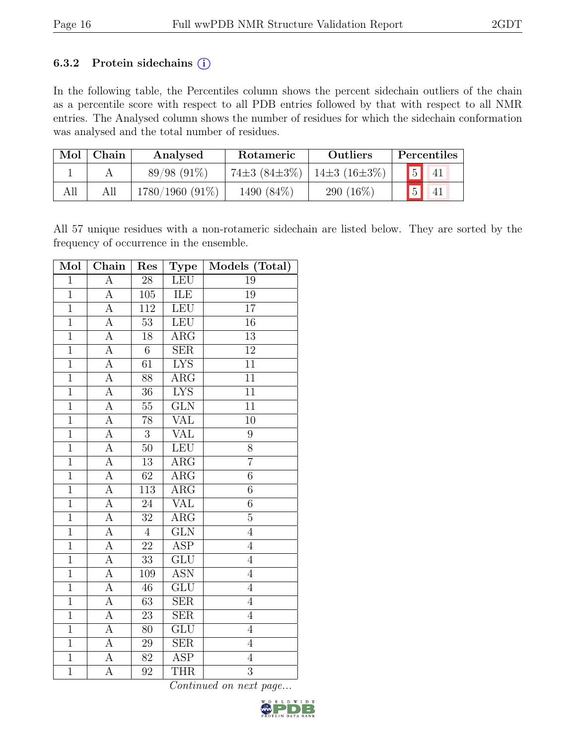#### 6.3.2 Protein sidechains  $(i)$

In the following table, the Percentiles column shows the percent sidechain outliers of the chain as a percentile score with respect to all PDB entries followed by that with respect to all NMR entries. The Analysed column shows the number of residues for which the sidechain conformation was analysed and the total number of residues.

| Mol | Chain | Analysed<br>Rotameric |                                          | <b>Outliers</b> | Percentiles |                |                          |  |
|-----|-------|-----------------------|------------------------------------------|-----------------|-------------|----------------|--------------------------|--|
|     |       | $89/98(91\%)$         | $74\pm3(84\pm3\%)$   14 $\pm3(16\pm3\%)$ |                 |             |                | $\boxed{5}$ $\boxed{41}$ |  |
| All |       | $1780/1960(91\%)$     | 1490 (84\%)                              | 290 $(16\%)$    |             | $\overline{5}$ | 41                       |  |

All 57 unique residues with a non-rotameric sidechain are listed below. They are sorted by the frequency of occurrence in the ensemble.

| Mol            | Chain              | Res             | <b>Type</b>             | Models (Total)   |
|----------------|--------------------|-----------------|-------------------------|------------------|
| $\overline{1}$ | $\overline{\rm A}$ | $\overline{28}$ | <b>LEU</b>              | $\overline{19}$  |
| $\overline{1}$ | $\overline{A}$     | 105             | ILE                     | 19               |
| $\overline{1}$ | $\overline{A}$     | 112             | LEU                     | $\overline{17}$  |
| $\mathbf{1}$   | $\overline{\rm A}$ | 53              | LEU                     | 16               |
| $\overline{1}$ | $\overline{A}$     | $\overline{18}$ | $\overline{\text{ARG}}$ | $\overline{13}$  |
| $\overline{1}$ | $\overline{A}$     | $\overline{6}$  | $\overline{\text{SER}}$ | $\overline{12}$  |
| $\mathbf{1}$   | A                  | $\overline{61}$ | <b>LYS</b>              | $\overline{11}$  |
| $\mathbf{1}$   | $\overline{A}$     | 88              | $\overline{\rm{ARG}}$   | 11               |
| $\overline{1}$ | $\overline{A}$     | 36              | <b>LYS</b>              | $\overline{11}$  |
| $\overline{1}$ | $\overline{A}$     | 55              | $\overline{\text{GLN}}$ | $\overline{11}$  |
| $\overline{1}$ | $\overline{A}$     | $\overline{78}$ | $\overline{\text{VAL}}$ | $\overline{10}$  |
| $\overline{1}$ | A                  | $\mathbf{3}$    | <b>VAL</b>              | $\boldsymbol{9}$ |
| $\overline{1}$ | $\overline{A}$     | $\overline{50}$ | LEU                     | $\overline{8}$   |
| $\overline{1}$ | A                  | 13              | $\rm{ARG}$              | $\overline{7}$   |
| $\overline{1}$ | A                  | $\overline{62}$ | ARG                     | $\overline{6}$   |
| $\overline{1}$ | $\overline{A}$     | 113             | $\rm{ARG}$              | $\overline{6}$   |
| $\mathbf{1}$   | А                  | 24              | <b>VAL</b>              | $\overline{6}$   |
| $\overline{1}$ | $\overline{A}$     | $\overline{32}$ | $\overline{\rm{ARG}}$   | $\overline{5}$   |
| $\overline{1}$ | A                  | $\overline{4}$  | $\overline{\text{GLN}}$ | $\overline{4}$   |
| $\overline{1}$ | $\overline{A}$     | $\overline{22}$ | <b>ASP</b>              | $\overline{4}$   |
| $\mathbf{1}$   | А                  | 33              | GLU                     | $\overline{4}$   |
| $\overline{1}$ | A                  | 109             | <b>ASN</b>              | $\overline{4}$   |
| $\overline{1}$ | A                  | $\overline{46}$ | $\overline{\text{GLU}}$ | $\overline{4}$   |
| $\overline{1}$ | A                  | $\overline{63}$ | <b>SER</b>              | $\overline{4}$   |
| $\overline{1}$ | $\overline{\rm A}$ | 23              | SER                     | $\overline{4}$   |
| $\overline{1}$ | A                  | 80              | $\overline{\text{GLU}}$ | $\overline{4}$   |
| $\mathbf{1}$   | A                  | 29              | <b>SER</b>              | $\overline{4}$   |
| $\overline{1}$ | А                  | 82              | $\overline{\text{ASP}}$ | $\overline{4}$   |
| $\mathbf{1}$   | А                  | 92              | <b>THR</b>              | 3                |

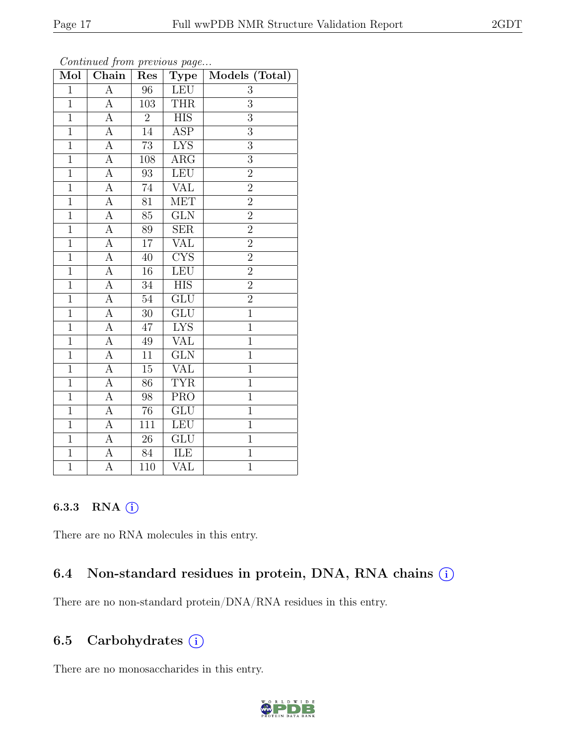| Mol            | $\overline{\text{Chain}}$ | Res             | $\cdots$ $\cdots$ $\cdots$<br>Type | Models (Total) |
|----------------|---------------------------|-----------------|------------------------------------|----------------|
| $\overline{1}$ | $\overline{\rm A}$        | 96              | <b>LEU</b>                         | 3              |
| $\mathbf{1}$   | A                         | 103             | <b>THR</b>                         | 3              |
| $\overline{1}$ | A                         | $\overline{2}$  | <b>HIS</b>                         | $\overline{3}$ |
| $\overline{1}$ | $\overline{A}$            | 14              | <b>ASP</b>                         | $\overline{3}$ |
| $\overline{1}$ | $\overline{\rm A}$        | $\overline{73}$ | <b>LYS</b>                         | $\overline{3}$ |
| $\mathbf{1}$   | $\overline{A}$            | 108             | $\rm{ARG}$                         | $\overline{3}$ |
| $\overline{1}$ | $\overline{A}$            | $\overline{93}$ | LEU                                | $\overline{2}$ |
| $\overline{1}$ | $\overline{A}$            | 74              | $\overline{\text{VAL}}$            | $\overline{2}$ |
| $\overline{1}$ | $\overline{A}$            | 81              | <b>MET</b>                         | $\overline{2}$ |
| $\mathbf{1}$   | $\overline{A}$            | 85              | GLN                                | $\overline{2}$ |
| $\overline{1}$ | A                         | 89              | <b>SER</b>                         | $\overline{2}$ |
| $\overline{1}$ | А                         | $\overline{17}$ | $\overline{\text{VAL}}$            | $\overline{2}$ |
| $\overline{1}$ | $\overline{A}$            | 40              | $\overline{\text{CYS}}$            | $\overline{2}$ |
| $\overline{1}$ | $\overline{A}$            | $16\,$          | ${\rm LEU}$                        | $\overline{2}$ |
| $\overline{1}$ | $\overline{A}$            | 34              | $\overline{HIS}$                   | $\overline{2}$ |
| $\overline{1}$ | $\overline{A}$            | 54              | $\overline{\text{GLU}}$            | $\overline{2}$ |
| $\overline{1}$ | $\overline{A}$            | $\overline{30}$ | GLU                                | $\overline{1}$ |
| $\overline{1}$ | $\overline{A}$            | 47              | <b>LYS</b>                         | $\mathbf 1$    |
| $\mathbf{1}$   | A                         | 49              | <b>VAL</b>                         | $\mathbf 1$    |
| $\overline{1}$ | $\overline{A}$            | 11              | $\overline{\text{GLN}}$            | $\overline{1}$ |
| $\mathbf{1}$   | A                         | $\overline{15}$ | $\overline{\text{VAL}}$            | $\mathbf{1}$   |
| $\overline{1}$ | $\overline{A}$            | $\overline{86}$ | <b>TYR</b>                         | $\overline{1}$ |
| $\overline{1}$ | $\overline{A}$            | 98              | $\overline{\text{PRO}}$            | $\overline{1}$ |
| $\overline{1}$ | $\overline{A}$            | $\overline{76}$ | $\overline{\text{GLU}}$            | $\overline{1}$ |
| $\overline{1}$ | $\overline{A}$            | 111             | <b>LEU</b>                         | $\overline{1}$ |
| $\mathbf{1}$   | A                         | $26\,$          | <b>GLU</b>                         | $\overline{1}$ |
| $\overline{1}$ | $\overline{A}$            | 84              | ILE                                | $\overline{1}$ |
| $\overline{1}$ | $\boldsymbol{A}$          | 110             | VAL                                | $\overline{1}$ |

Continued from previous page...

#### 6.3.3 RNA  $(i)$

There are no RNA molecules in this entry.

## 6.4 Non-standard residues in protein, DNA, RNA chains  $(i)$

There are no non-standard protein/DNA/RNA residues in this entry.

## 6.5 Carbohydrates  $(i)$

There are no monosaccharides in this entry.

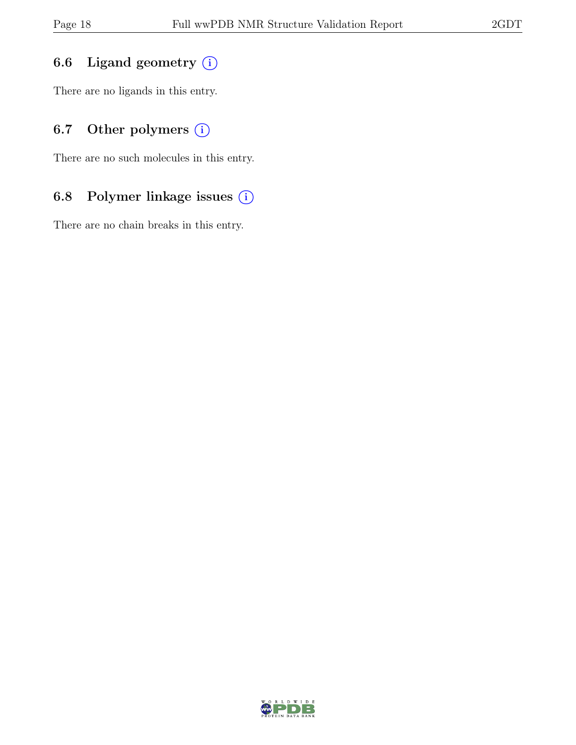## 6.6 Ligand geometry  $(i)$

There are no ligands in this entry.

## 6.7 Other polymers  $(i)$

There are no such molecules in this entry.

## 6.8 Polymer linkage issues (i)

There are no chain breaks in this entry.

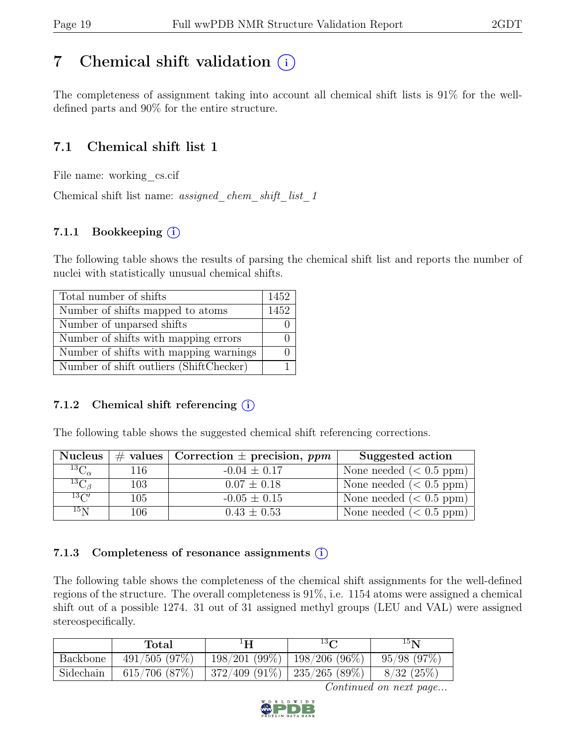# <span id="page-18-0"></span>7 Chemical shift validation  $(i)$

The completeness of assignment taking into account all chemical shift lists is 91% for the welldefined parts and 90% for the entire structure.

## 7.1 Chemical shift list 1

File name: working cs.cif

Chemical shift list name: assigned\_chem\_shift\_list\_1

#### 7.1.1 Bookkeeping (i)

The following table shows the results of parsing the chemical shift list and reports the number of nuclei with statistically unusual chemical shifts.

| Total number of shifts                  | 1452 |
|-----------------------------------------|------|
| Number of shifts mapped to atoms        | 1452 |
| Number of unparsed shifts               |      |
| Number of shifts with mapping errors    |      |
| Number of shifts with mapping warnings  |      |
| Number of shift outliers (ShiftChecker) |      |

#### 7.1.2 Chemical shift referencing  $(i)$

The following table shows the suggested chemical shift referencing corrections.

| <b>Nucleus</b>      |     | $\#$ values Correction $\pm$ precision, ppm | Suggested action           |
|---------------------|-----|---------------------------------------------|----------------------------|
| ${}^{13}C_{\alpha}$ | 116 | $-0.04 \pm 0.17$                            | None needed $(0.5 ppm)$    |
| ${}^{13}C_{\beta}$  | 103 | $0.07 \pm 0.18$                             | None needed $(0.5 ppm)$    |
| $^{13}C'$           | 105 | $-0.05 \pm 0.15$                            | None needed $(0.5 ppm)$    |
| 15 <sub>N</sub>     | 106 | $0.43 \pm 0.53$                             | None needed ( $< 0.5$ ppm) |

#### 7.1.3 Completeness of resonance assignments  $(i)$

The following table shows the completeness of the chemical shift assignments for the well-defined regions of the structure. The overall completeness is 91%, i.e. 1154 atoms were assigned a chemical shift out of a possible 1274. 31 out of 31 assigned methyl groups (LEU and VAL) were assigned stereospecifically.

|           | Total              | Н                                 | $13\Omega$ | 15 <sub>N</sub> |
|-----------|--------------------|-----------------------------------|------------|-----------------|
| Backbone  | 491/505(97%)       | $198/201 (99\%)$   198/206 (96%)  |            | 95/98(97%)      |
| Sidechain | $615/706$ $(87\%)$ | $372/409$ (91\%)   235/265 (89\%) |            | 8/32(25%)       |